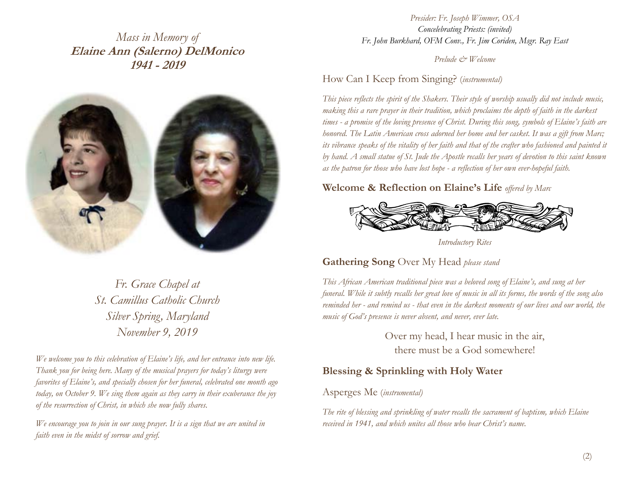*Mass in Memory of*  **Elaine Ann (Salerno) DelMonico 1941 - 2019** 



*Fr. Grace Chapel at St. Camillus Catholic Church Silver Spring, Maryland November 9, 2019* 

*We welcome you to this celebration of Elaine's life, and her entrance into new life. Thank you for being here. Many of the musical prayers for today's liturgy were favorites of Elaine's, and specially chosen for her funeral, celebrated one month ago today, on October 9. We sing them again as they carry in their exuberance the joy of the resurrection of Christ, in which she now fully shares.* 

*We encourage you to join in our sung prayer. It is a sign that we are united in faith even in the midst of sorrow and grief.* 

*Presider: Fr. Joseph Wimmer, OSA Concelebrating Priests: (invited) Fr. John Burkhard, OFM Conv., Fr. Jim Coriden, Msgr. Ray East*

*Prelude & Welcome*

How Can I Keep from Singing? (*instrumental)*

*This piece reflects the spirit of the Shakers. Their style of worship usually did not include music, making this a rare prayer in their tradition, which proclaims the depth of faith in the darkest times - a promise of the loving presence of Christ. During this song, symbols of Elaine's faith are honored. The Latin American cross adorned her home and her casket. It was a gift from Marc; its vibrance speaks of the vitality of her faith and that of the crafter who fashioned and painted it by hand. A small statue of St. Jude the Apostle recalls her years of devotion to this saint known as the patron for those who have lost hope - a reflection of her own ever-hopeful faith.* 

#### **Welcome & Reflection on Elaine's Life** *offered by Marc*



*Introductory Rites* 

### **Gathering Song** Over My Head *please stand*

*This African American traditional piece was a beloved song of Elaine's, and sung at her funeral. While it subtly recalls her great love of music in all its forms, the words of the song also reminded her - and remind us - that even in the darkest moments of our lives and our world, the music of God's presence is never absent, and never, ever late.* 

> Over my head, I hear music in the air, there must be a God somewhere!

#### **Blessing & Sprinkling with Holy Water**

#### Asperges Me (*instrumental)*

*The rite of blessing and sprinkling of water recalls the sacrament of baptism, which Elaine received in 1941, and which unites all those who bear Christ's name.*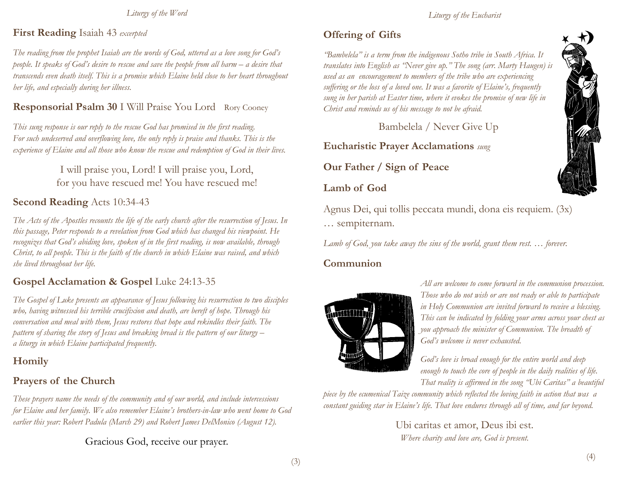*Liturgy of the Word* 

### **First Reading** Isaiah 43 *excerpted*

*The reading from the prophet Isaiah are the words of God, uttered as a love song for God's people. It speaks of God's desire to rescue and save the people from all harm – a desire that transcends even death itself. This is a promise which Elaine held close to her heart throughout her life, and especially during her illness.* 

## **Responsorial Psalm 30** I Will Praise You Lord Rory Cooney

*This sung response is our reply to the rescue God has promised in the first reading. For such undeserved and overflowing love, the only reply is praise and thanks. This is the experience of Elaine and all those who know the rescue and redemption of God in their lives.* 

> I will praise you, Lord! I will praise you, Lord, for you have rescued me! You have rescued me!

## **Second Reading** Acts 10:34-43

*The Acts of the Apostles recounts the life of the early church after the resurrection of Jesus. In this passage, Peter responds to a revelation from God which has changed his viewpoint. He recognizes that God's abiding love, spoken of in the first reading, is now available, through Christ, to all people. This is the faith of the church in which Elaine was raised, and which she lived throughout her life.* 

## Gospel Acclamation & Gospel Luke 24:13-35

*The Gospel of Luke presents an appearance of Jesus following his resurrection to two disciples who, having witnessed his terrible crucifixion and death, are bereft of hope. Through his conversation and meal with them, Jesus restores that hope and rekindles their faith. The pattern of sharing the story of Jesus and breaking bread is the pattern of our liturgy – a liturgy in which Elaine participated frequently.* 

## **Homily**

# **Prayers of the Church**

*These prayers name the needs of the community and of our world, and include intercessions for Elaine and her family. We also remember Elaine's brothers-in-law who went home to God earlier this year: Robert Padula (March 29) and Robert James DelMonico (August 12).* 

## Gracious God, receive our prayer.



*"Bambelela" is a term from the indigenous Sotho tribe in South Africa. It translates into English as "Never give up." The song (arr. Marty Haugen) is used as an encouragement to members of the tribe who are experiencing suffering or the loss of a loved one. It was a favorite of Elaine's, frequently sung in her parish at Easter time, where it evokes the promise of new life in Christ and reminds us of his message to not be afraid.* 

Bambelela / Never Give Up

**Eucharistic Prayer Acclamations** *sung*

**Our Father / Sign of Peace** 

#### **Lamb of God**

Agnus Dei, qui tollis peccata mundi, dona eis requiem. (3x) … sempiternam.

Lamb of God, you take away the sins of the world, grant them rest. ... forever.

### **Communion**



*All are welcome to come forward in the communion procession. Those who do not wish or are not ready or able to participate in Holy Communion are invited forward to receive a blessing. This can be indicated by folding your arms across your chest as you approach the minister of Communion. The breadth of God's welcome is never exhausted.* 

*God's love is broad enough for the entire world and deep enough to touch the core of people in the daily realities of life. That reality is affirmed in the song "Ubi Caritas" a beautiful* 

*piece by the ecumenical Taize community which reflected the loving faith in action that was a constant guiding star in Elaine's life. That love endures through all of time, and far beyond.* 

> Ubi caritas et amor, Deus ibi est. *Where charity and love are, God is present.*